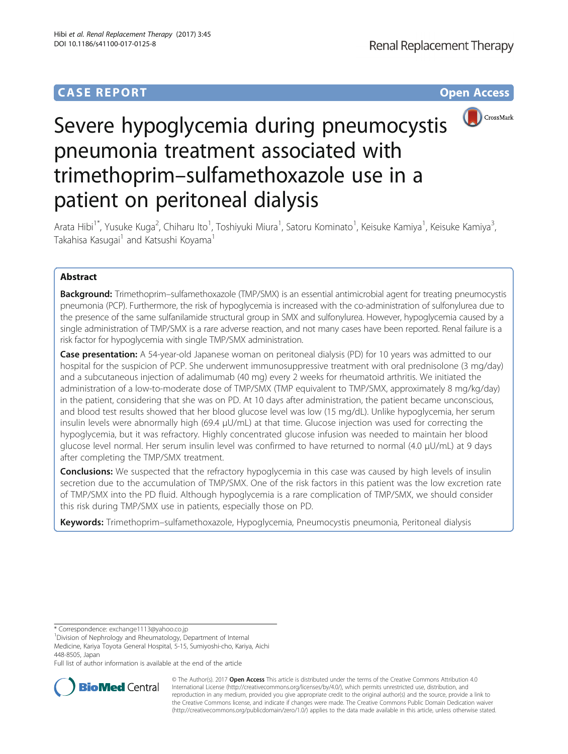## **CASE REPORT CASE REPORT CASE ACCESS**



# Severe hypoglycemia during pneumocystis pneumonia treatment associated with trimethoprim–sulfamethoxazole use in a patient on peritoneal dialysis

Arata Hibi<sup>1\*</sup>, Yusuke Kuga<sup>2</sup>, Chiharu Ito<sup>1</sup>, Toshiyuki Miura<sup>1</sup>, Satoru Kominato<sup>1</sup>, Keisuke Kamiya<sup>1</sup>, Keisuke Kamiya<sup>3</sup> , Takahisa Kasugai<sup>1</sup> and Katsushi Koyama<sup>1</sup>

### Abstract

**Background:** Trimethoprim–sulfamethoxazole (TMP/SMX) is an essential antimicrobial agent for treating pneumocystis pneumonia (PCP). Furthermore, the risk of hypoglycemia is increased with the co-administration of sulfonylurea due to the presence of the same sulfanilamide structural group in SMX and sulfonylurea. However, hypoglycemia caused by a single administration of TMP/SMX is a rare adverse reaction, and not many cases have been reported. Renal failure is a risk factor for hypoglycemia with single TMP/SMX administration.

Case presentation: A 54-year-old Japanese woman on peritoneal dialysis (PD) for 10 years was admitted to our hospital for the suspicion of PCP. She underwent immunosuppressive treatment with oral prednisolone (3 mg/day) and a subcutaneous injection of adalimumab (40 mg) every 2 weeks for rheumatoid arthritis. We initiated the administration of a low-to-moderate dose of TMP/SMX (TMP equivalent to TMP/SMX, approximately 8 mg/kg/day) in the patient, considering that she was on PD. At 10 days after administration, the patient became unconscious, and blood test results showed that her blood glucose level was low (15 mg/dL). Unlike hypoglycemia, her serum insulin levels were abnormally high (69.4 μU/mL) at that time. Glucose injection was used for correcting the hypoglycemia, but it was refractory. Highly concentrated glucose infusion was needed to maintain her blood glucose level normal. Her serum insulin level was confirmed to have returned to normal (4.0 μU/mL) at 9 days after completing the TMP/SMX treatment.

**Conclusions:** We suspected that the refractory hypoglycemia in this case was caused by high levels of insulin secretion due to the accumulation of TMP/SMX. One of the risk factors in this patient was the low excretion rate of TMP/SMX into the PD fluid. Although hypoglycemia is a rare complication of TMP/SMX, we should consider this risk during TMP/SMX use in patients, especially those on PD.

Keywords: Trimethoprim–sulfamethoxazole, Hypoglycemia, Pneumocystis pneumonia, Peritoneal dialysis

\* Correspondence: [exchange1113@yahoo.co.jp](mailto:exchange1113@yahoo.co.jp) <sup>1</sup>

<sup>1</sup> Division of Nephrology and Rheumatology, Department of Internal

Medicine, Kariya Toyota General Hospital, 5-15, Sumiyoshi-cho, Kariya, Aichi 448-8505, Japan

Full list of author information is available at the end of the article



© The Author(s). 2017 **Open Access** This article is distributed under the terms of the Creative Commons Attribution 4.0 International License [\(http://creativecommons.org/licenses/by/4.0/](http://creativecommons.org/licenses/by/4.0/)), which permits unrestricted use, distribution, and reproduction in any medium, provided you give appropriate credit to the original author(s) and the source, provide a link to the Creative Commons license, and indicate if changes were made. The Creative Commons Public Domain Dedication waiver [\(http://creativecommons.org/publicdomain/zero/1.0/](http://creativecommons.org/publicdomain/zero/1.0/)) applies to the data made available in this article, unless otherwise stated.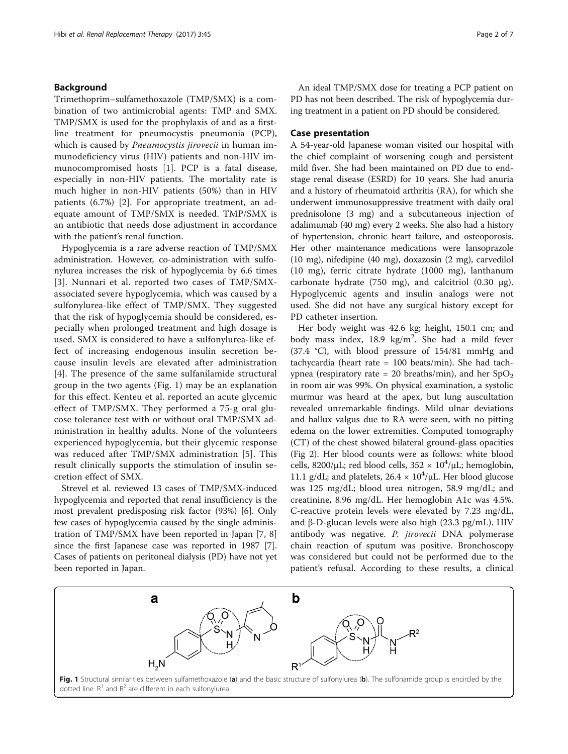#### Background

Trimethoprim–sulfamethoxazole (TMP/SMX) is a combination of two antimicrobial agents: TMP and SMX. TMP/SMX is used for the prophylaxis of and as a firstline treatment for pneumocystis pneumonia (PCP), which is caused by *Pneumocystis jirovecii* in human immunodeficiency virus (HIV) patients and non-HIV immunocompromised hosts [[1](#page-6-0)]. PCP is a fatal disease, especially in non-HIV patients. The mortality rate is much higher in non-HIV patients (50%) than in HIV patients (6.7%) [[2\]](#page-6-0). For appropriate treatment, an adequate amount of TMP/SMX is needed. TMP/SMX is an antibiotic that needs dose adjustment in accordance with the patient's renal function.

Hypoglycemia is a rare adverse reaction of TMP/SMX administration. However, co-administration with sulfonylurea increases the risk of hypoglycemia by 6.6 times [[3](#page-6-0)]. Nunnari et al. reported two cases of TMP/SMXassociated severe hypoglycemia, which was caused by a sulfonylurea-like effect of TMP/SMX. They suggested that the risk of hypoglycemia should be considered, especially when prolonged treatment and high dosage is used. SMX is considered to have a sulfonylurea-like effect of increasing endogenous insulin secretion because insulin levels are elevated after administration [[4](#page-6-0)]. The presence of the same sulfanilamide structural group in the two agents (Fig. 1) may be an explanation for this effect. Kenteu et al. reported an acute glycemic effect of TMP/SMX. They performed a 75-g oral glucose tolerance test with or without oral TMP/SMX administration in healthy adults. None of the volunteers experienced hypoglycemia, but their glycemic response was reduced after TMP/SMX administration [\[5](#page-6-0)]. This result clinically supports the stimulation of insulin secretion effect of SMX.

Strevel et al. reviewed 13 cases of TMP/SMX-induced hypoglycemia and reported that renal insufficiency is the most prevalent predisposing risk factor (93%) [\[6\]](#page-6-0). Only few cases of hypoglycemia caused by the single administration of TMP/SMX have been reported in Japan [[7, 8](#page-6-0)] since the first Japanese case was reported in 1987 [\[7](#page-6-0)]. Cases of patients on peritoneal dialysis (PD) have not yet been reported in Japan.

An ideal TMP/SMX dose for treating a PCP patient on PD has not been described. The risk of hypoglycemia during treatment in a patient on PD should be considered.

#### Case presentation

A 54-year-old Japanese woman visited our hospital with the chief complaint of worsening cough and persistent mild fiver. She had been maintained on PD due to endstage renal disease (ESRD) for 10 years. She had anuria and a history of rheumatoid arthritis (RA), for which she underwent immunosuppressive treatment with daily oral prednisolone (3 mg) and a subcutaneous injection of adalimumab (40 mg) every 2 weeks. She also had a history of hypertension, chronic heart failure, and osteoporosis. Her other maintenance medications were lansoprazole (10 mg), nifedipine (40 mg), doxazosin (2 mg), carvedilol (10 mg), ferric citrate hydrate (1000 mg), lanthanum carbonate hydrate (750 mg), and calcitriol (0.30  $\mu$ g). Hypoglycemic agents and insulin analogs were not used. She did not have any surgical history except for PD catheter insertion.

Her body weight was 42.6 kg; height, 150.1 cm; and body mass index, 18.9 kg/m<sup>2</sup> . She had a mild fever (37.4 °C), with blood pressure of 154/81 mmHg and tachycardia (heart rate = 100 beats/min). She had tachypnea (respiratory rate = 20 breaths/min), and her  $SpO<sub>2</sub>$ in room air was 99%. On physical examination, a systolic murmur was heard at the apex, but lung auscultation revealed unremarkable findings. Mild ulnar deviations and hallux valgus due to RA were seen, with no pitting edema on the lower extremities. Computed tomography (CT) of the chest showed bilateral ground-glass opacities (Fig [2](#page-2-0)). Her blood counts were as follows: white blood cells, 8200/ $\mu$ L; red blood cells, 352 × 10<sup>4</sup>/ $\mu$ L; hemoglobin, 11.1 g/dL; and platelets,  $26.4 \times 10^4$ /µL. Her blood glucose was 125 mg/dL; blood urea nitrogen, 58.9 mg/dL; and creatinine, 8.96 mg/dL. Her hemoglobin A1c was 4.5%. C-reactive protein levels were elevated by 7.23 mg/dL, and β-D-glucan levels were also high (23.3 pg/mL). HIV antibody was negative. P. jirovecii DNA polymerase chain reaction of sputum was positive. Bronchoscopy was considered but could not be performed due to the patient's refusal. According to these results, a clinical



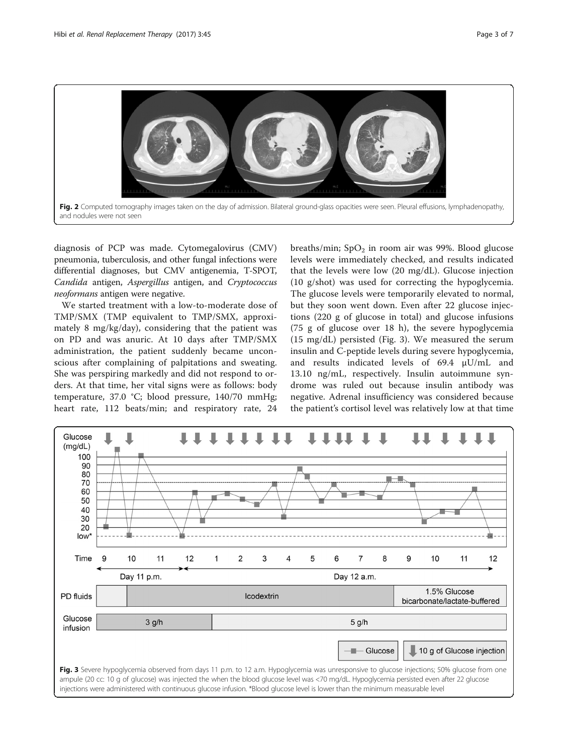<span id="page-2-0"></span>

diagnosis of PCP was made. Cytomegalovirus (CMV) pneumonia, tuberculosis, and other fungal infections were differential diagnoses, but CMV antigenemia, T-SPOT, Candida antigen, Aspergillus antigen, and Cryptococcus neoformans antigen were negative.

We started treatment with a low-to-moderate dose of TMP/SMX (TMP equivalent to TMP/SMX, approximately 8 mg/kg/day), considering that the patient was on PD and was anuric. At 10 days after TMP/SMX administration, the patient suddenly became unconscious after complaining of palpitations and sweating. She was perspiring markedly and did not respond to orders. At that time, her vital signs were as follows: body temperature, 37.0 °C; blood pressure, 140/70 mmHg; heart rate, 112 beats/min; and respiratory rate, 24

breaths/min;  $SpO<sub>2</sub>$  in room air was 99%. Blood glucose levels were immediately checked, and results indicated that the levels were low (20 mg/dL). Glucose injection (10 g/shot) was used for correcting the hypoglycemia. The glucose levels were temporarily elevated to normal, but they soon went down. Even after 22 glucose injections (220 g of glucose in total) and glucose infusions (75 g of glucose over 18 h), the severe hypoglycemia (15 mg/dL) persisted (Fig. 3). We measured the serum insulin and C-peptide levels during severe hypoglycemia, and results indicated levels of 69.4 μU/mL and 13.10 ng/mL, respectively. Insulin autoimmune syndrome was ruled out because insulin antibody was negative. Adrenal insufficiency was considered because the patient's cortisol level was relatively low at that time

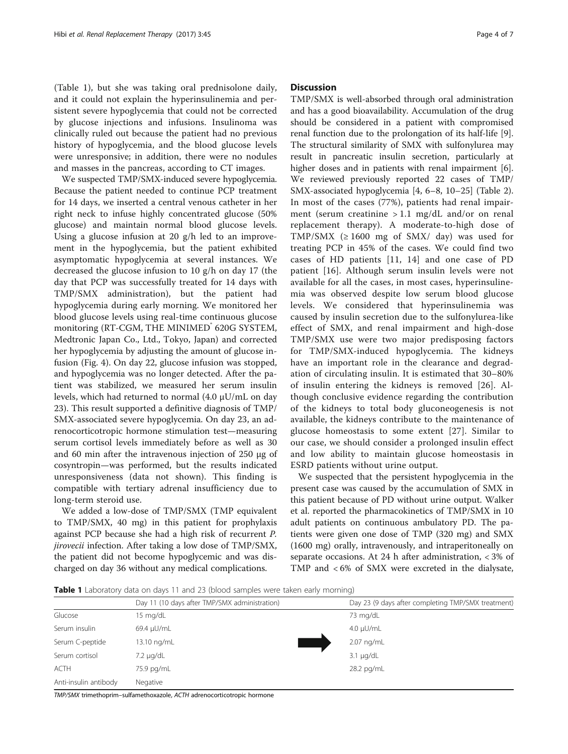(Table 1), but she was taking oral prednisolone daily, and it could not explain the hyperinsulinemia and persistent severe hypoglycemia that could not be corrected by glucose injections and infusions. Insulinoma was clinically ruled out because the patient had no previous history of hypoglycemia, and the blood glucose levels were unresponsive; in addition, there were no nodules and masses in the pancreas, according to CT images.

We suspected TMP/SMX-induced severe hypoglycemia. Because the patient needed to continue PCP treatment for 14 days, we inserted a central venous catheter in her right neck to infuse highly concentrated glucose (50% glucose) and maintain normal blood glucose levels. Using a glucose infusion at 20 g/h led to an improvement in the hypoglycemia, but the patient exhibited asymptomatic hypoglycemia at several instances. We decreased the glucose infusion to 10 g/h on day 17 (the day that PCP was successfully treated for 14 days with TMP/SMX administration), but the patient had hypoglycemia during early morning. We monitored her blood glucose levels using real-time continuous glucose monitoring (RT-CGM, THE MINIMED<sup>®</sup> 620G SYSTEM, Medtronic Japan Co., Ltd., Tokyo, Japan) and corrected her hypoglycemia by adjusting the amount of glucose infusion (Fig. [4\)](#page-4-0). On day 22, glucose infusion was stopped, and hypoglycemia was no longer detected. After the patient was stabilized, we measured her serum insulin levels, which had returned to normal (4.0 μU/mL on day 23). This result supported a definitive diagnosis of TMP/ SMX-associated severe hypoglycemia. On day 23, an adrenocorticotropic hormone stimulation test—measuring serum cortisol levels immediately before as well as 30 and 60 min after the intravenous injection of 250 μg of cosyntropin—was performed, but the results indicated unresponsiveness (data not shown). This finding is compatible with tertiary adrenal insufficiency due to long-term steroid use.

We added a low-dose of TMP/SMX (TMP equivalent to TMP/SMX, 40 mg) in this patient for prophylaxis against PCP because she had a high risk of recurrent P. jirovecii infection. After taking a low dose of TMP/SMX, the patient did not become hypoglycemic and was discharged on day 36 without any medical complications.

#### **Discussion**

TMP/SMX is well-absorbed through oral administration and has a good bioavailability. Accumulation of the drug should be considered in a patient with compromised renal function due to the prolongation of its half-life [\[9](#page-6-0)]. The structural similarity of SMX with sulfonylurea may result in pancreatic insulin secretion, particularly at higher doses and in patients with renal impairment [\[6](#page-6-0)]. We reviewed previously reported 22 cases of TMP/ SMX-associated hypoglycemia [[4, 6](#page-6-0)–[8, 10](#page-6-0)–[25](#page-6-0)] (Table [2](#page-5-0)). In most of the cases (77%), patients had renal impairment (serum creatinine  $> 1.1$  mg/dL and/or on renal replacement therapy). A moderate-to-high dose of TMP/SMX  $( \geq 1600 \text{ mg of SMX/ day})$  was used for treating PCP in 45% of the cases. We could find two cases of HD patients [[11](#page-6-0), [14](#page-6-0)] and one case of PD patient [\[16](#page-6-0)]. Although serum insulin levels were not available for all the cases, in most cases, hyperinsulinemia was observed despite low serum blood glucose levels. We considered that hyperinsulinemia was caused by insulin secretion due to the sulfonylurea-like effect of SMX, and renal impairment and high-dose TMP/SMX use were two major predisposing factors for TMP/SMX-induced hypoglycemia. The kidneys have an important role in the clearance and degradation of circulating insulin. It is estimated that 30–80% of insulin entering the kidneys is removed [\[26](#page-6-0)]. Although conclusive evidence regarding the contribution of the kidneys to total body gluconeogenesis is not available, the kidneys contribute to the maintenance of glucose homeostasis to some extent [[27](#page-6-0)]. Similar to our case, we should consider a prolonged insulin effect and low ability to maintain glucose homeostasis in ESRD patients without urine output.

We suspected that the persistent hypoglycemia in the present case was caused by the accumulation of SMX in this patient because of PD without urine output. Walker et al. reported the pharmacokinetics of TMP/SMX in 10 adult patients on continuous ambulatory PD. The patients were given one dose of TMP (320 mg) and SMX (1600 mg) orally, intravenously, and intraperitoneally on separate occasions. At 24 h after administration, < 3% of TMP and < 6% of SMX were excreted in the dialysate,

Table 1 Laboratory data on days 11 and 23 (blood samples were taken early morning)

|                       | Day 11 (10 days after TMP/SMX administration) | Day 23 (9 days after completing TMP/SMX treatment) |
|-----------------------|-----------------------------------------------|----------------------------------------------------|
| Glucose               | 15 mg/dL                                      | 73 mg/dL                                           |
| Serum insulin         | 69.4 µU/mL                                    | $4.0 \mu$ U/mL                                     |
| Serum C-peptide       | 13.10 ng/mL                                   | 2.07 ng/mL                                         |
| Serum cortisol        | $7.2 \mu q/dL$                                | $3.1 \mu q/dL$                                     |
| <b>ACTH</b>           | 75.9 pg/mL                                    | 28.2 pg/mL                                         |
| Anti-insulin antibody | Negative                                      |                                                    |
|                       |                                               |                                                    |

TMP/SMX trimethoprim–sulfamethoxazole, ACTH adrenocorticotropic hormone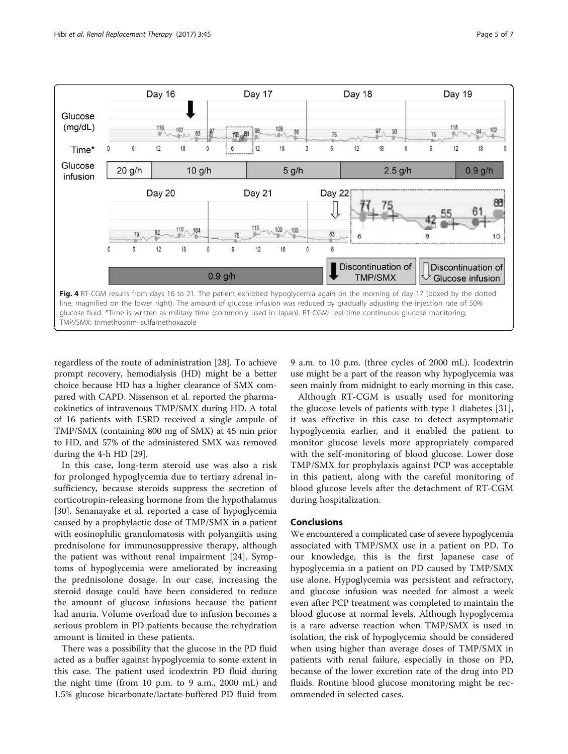<span id="page-4-0"></span>

regardless of the route of administration [[28\]](#page-6-0). To achieve prompt recovery, hemodialysis (HD) might be a better choice because HD has a higher clearance of SMX compared with CAPD. Nissenson et al. reported the pharmacokinetics of intravenous TMP/SMX during HD. A total of 16 patients with ESRD received a single ampule of TMP/SMX (containing 800 mg of SMX) at 45 min prior to HD, and 57% of the administered SMX was removed during the 4-h HD [[29\]](#page-6-0).

In this case, long-term steroid use was also a risk for prolonged hypoglycemia due to tertiary adrenal insufficiency, because steroids suppress the secretion of corticotropin-releasing hormone from the hypothalamus [[30\]](#page-6-0). Senanayake et al. reported a case of hypoglycemia caused by a prophylactic dose of TMP/SMX in a patient with eosinophilic granulomatosis with polyangiitis using prednisolone for immunosuppressive therapy, although the patient was without renal impairment [\[24](#page-6-0)]. Symptoms of hypoglycemia were ameliorated by increasing the prednisolone dosage. In our case, increasing the steroid dosage could have been considered to reduce the amount of glucose infusions because the patient had anuria. Volume overload due to infusion becomes a serious problem in PD patients because the rehydration amount is limited in these patients.

There was a possibility that the glucose in the PD fluid acted as a buffer against hypoglycemia to some extent in this case. The patient used icodextrin PD fluid during the night time (from 10 p.m. to 9 a.m., 2000 mL) and 1.5% glucose bicarbonate/lactate-buffered PD fluid from 9 a.m. to 10 p.m. (three cycles of 2000 mL). Icodextrin use might be a part of the reason why hypoglycemia was seen mainly from midnight to early morning in this case.

Although RT-CGM is usually used for monitoring the glucose levels of patients with type 1 diabetes [[31](#page-6-0)], it was effective in this case to detect asymptomatic hypoglycemia earlier, and it enabled the patient to monitor glucose levels more appropriately compared with the self-monitoring of blood glucose. Lower dose TMP/SMX for prophylaxis against PCP was acceptable in this patient, along with the careful monitoring of blood glucose levels after the detachment of RT-CGM during hospitalization.

#### Conclusions

We encountered a complicated case of severe hypoglycemia associated with TMP/SMX use in a patient on PD. To our knowledge, this is the first Japanese case of hypoglycemia in a patient on PD caused by TMP/SMX use alone. Hypoglycemia was persistent and refractory, and glucose infusion was needed for almost a week even after PCP treatment was completed to maintain the blood glucose at normal levels. Although hypoglycemia is a rare adverse reaction when TMP/SMX is used in isolation, the risk of hypoglycemia should be considered when using higher than average doses of TMP/SMX in patients with renal failure, especially in those on PD, because of the lower excretion rate of the drug into PD fluids. Routine blood glucose monitoring might be recommended in selected cases.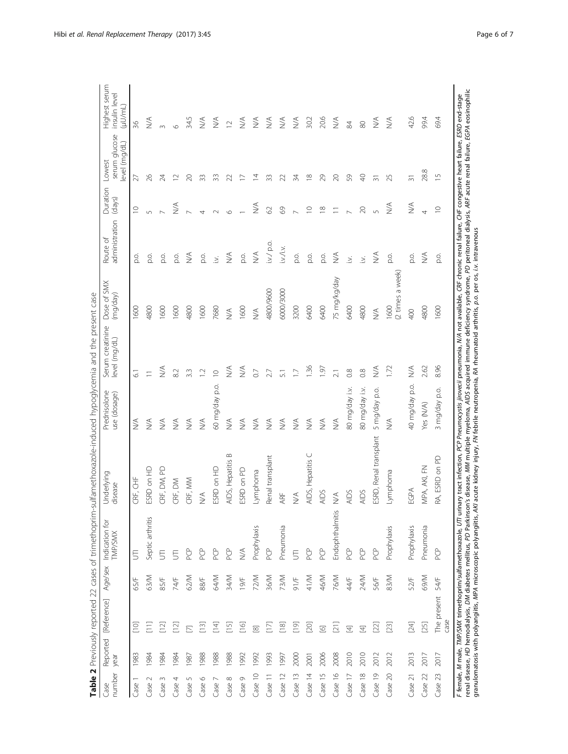|                         |                  |                     |             | Table 2 Previously reported 22 cases of trimethoprim            | sulfamethoxazole-induced hypoglycemia and the present case                                                                                                                                                                                                                                                                                                                                                                                                                                                                                           |                                  |                                  |                              |                              |                                  |                                         |                                           |
|-------------------------|------------------|---------------------|-------------|-----------------------------------------------------------------|------------------------------------------------------------------------------------------------------------------------------------------------------------------------------------------------------------------------------------------------------------------------------------------------------------------------------------------------------------------------------------------------------------------------------------------------------------------------------------------------------------------------------------------------------|----------------------------------|----------------------------------|------------------------------|------------------------------|----------------------------------|-----------------------------------------|-------------------------------------------|
| number<br>Case          | Reported<br>year | [Reference]         | Age/sex     | ğ<br>Indication<br><b>TMP/SMX</b>                               | Underlying<br>disease                                                                                                                                                                                                                                                                                                                                                                                                                                                                                                                                | Prednisolone<br>use (dosage)     | Serum creatinine<br>evel (mg/dL) | Dose of SMX<br>(mg/day)      | administration<br>Route of   | Duration<br>(days)               | serum glucose<br>evel (mg/dL)<br>Lowest | Highest serum<br>insulin level<br>(µU/mL) |
| Case                    | 1983             | $[10]$              | 65/F        | $\overline{5}$                                                  | CRF, CHF                                                                                                                                                                                                                                                                                                                                                                                                                                                                                                                                             | $\stackrel{\triangle}{\geq}$     | $\overline{6}$                   | 600                          | o.<br>Q                      | $\supseteq$                      | 27                                      | 36                                        |
| $\sim$<br>Case          | 1984             |                     | 63/M        | Septic arthritis                                                | ESRD on HD                                                                                                                                                                                                                                                                                                                                                                                                                                                                                                                                           | $\lessapprox$                    | $\equiv$                         | 4800                         | o.<br>Q                      | 5                                | 26                                      | $\stackrel{\triangleleft}{\geq}$          |
| 3<br>Case               | 1984             | 흔                   | 85/F        | 5                                                               | CRF, DM, PD                                                                                                                                                                                                                                                                                                                                                                                                                                                                                                                                          | $\stackrel{\triangleleft}{\geq}$ | $\stackrel{\triangleleft}{\geq}$ | 1600                         | o.<br>Q                      |                                  | $\mathbb{Z}$                            | $\infty$                                  |
| 4<br>Case               | 1984             | $[12]$              | 74/F        | 5                                                               | CRF, DM                                                                                                                                                                                                                                                                                                                                                                                                                                                                                                                                              | $\frac{1}{2}$                    | 8.2                              | 1600                         | p.o.                         | NA)                              | $\approx$                               | $\circ$                                   |
| S<br>Case               | 987              | $\overline{\Xi}$    | 62/M        | PCP                                                             | CRF, MM                                                                                                                                                                                                                                                                                                                                                                                                                                                                                                                                              | $\lessgtr$                       | 3.3                              | 4800                         | $\stackrel{\triangle}{\geq}$ |                                  | $\approx$                               | 34.5                                      |
| $\circ$<br>Case         | 1988             | $[13]$              | 88/F        | PCP                                                             | $\lessgtr$                                                                                                                                                                                                                                                                                                                                                                                                                                                                                                                                           | $\lessgtr$                       | $\overline{C}$                   | 1600                         | p.o.                         | 4                                | 33                                      | $\stackrel{\triangleleft}{\geq}$          |
| $\overline{ }$<br>Case  | 1988             | 三                   | <b>RAV</b>  | <b>PCP</b>                                                      | ESRD on HD                                                                                                                                                                                                                                                                                                                                                                                                                                                                                                                                           | 60 mg/day p.o.                   | $\supseteq$                      | 7680                         | ž.                           | $\sim$                           | 33                                      | MA                                        |
| $\infty$<br>Case        | 1988             | $\Xi$               | 34/M        | PCP                                                             | $\infty$<br>AIDS, Hepatitis                                                                                                                                                                                                                                                                                                                                                                                                                                                                                                                          | $\lessgtr$                       | $\stackrel{\triangleleft}{\geq}$ | $\stackrel{\triangle}{\geq}$ | $\leq$                       | $\circ$                          | S                                       | $\supseteq$                               |
| $\circ$<br>Case         | 1992             | $\Xi$               | 19/F        | $\stackrel{\leq}{\geq}$                                         | ESRD on PD                                                                                                                                                                                                                                                                                                                                                                                                                                                                                                                                           | $\stackrel{\triangleleft}{\geq}$ | $\frac{1}{2}$                    | 1600                         | p.o.                         |                                  |                                         | $\stackrel{\triangle}{\geq}$              |
| Case 10                 | 1992             | $\boxtimes$         | 72/M        | Prophylaxis                                                     | Lymphoma                                                                                                                                                                                                                                                                                                                                                                                                                                                                                                                                             | $\stackrel{\triangle}{\geq}$     | $\overline{0}$                   | $\lesssim$                   | $\lesssim$                   | $\stackrel{\triangleleft}{\geq}$ | $\overline{4}$                          | $\sum_{i=1}^{n}$                          |
| Case 11                 | 1993             | E                   | 36/M        | PCP                                                             | Renal transplant                                                                                                                                                                                                                                                                                                                                                                                                                                                                                                                                     | ≶                                | 2.7                              | 4800/9600                    | $i \vee i$ p.o.              | $\Omega$                         | 33                                      | $\stackrel{\triangle}{\geq}$              |
| Case 12                 | 1997             | $\boxed{8}$         | 73/M        | Pneumonia                                                       | ARF                                                                                                                                                                                                                                                                                                                                                                                                                                                                                                                                                  | ₹                                | $\overline{51}$                  | 6000/3000                    | iw/iw.                       | 89                               | $\mathcal{Z}$                           | $\stackrel{\triangle}{\geq}$              |
| Case 13                 | 2000             | [er                 | 91/F        | $\overline{5}$                                                  | $\stackrel{\triangle}{\geq}$                                                                                                                                                                                                                                                                                                                                                                                                                                                                                                                         | $\stackrel{\triangle}{\geq}$     | $\overline{1}$                   | 3200                         | p.o.                         | $\overline{\phantom{0}}$         | 34                                      | $\frac{1}{2}$                             |
| Case 14                 | 2001             | [20]                | 41/M        | <b>PCP</b>                                                      | AIDS, Hepatitis C                                                                                                                                                                                                                                                                                                                                                                                                                                                                                                                                    | $\frac{1}{2}$                    | 1.36                             | 6400                         | р.<br>С                      | $\supseteq$                      | $\frac{8}{10}$                          | 30.2                                      |
| Case 15                 | 2006             | $\overline{\omega}$ | 46/M        | PCP                                                             | <b>AIDS</b>                                                                                                                                                                                                                                                                                                                                                                                                                                                                                                                                          | $\stackrel{\triangleleft}{\geq}$ | $\overline{61}$                  | 6400                         | p.o.                         | $\frac{8}{1}$                    | 29                                      | 20.6                                      |
| Case 16                 | 2008             | $\Xi$               | 76/M        | Endophthalmitis                                                 | $\stackrel{\triangle}{\geq}$                                                                                                                                                                                                                                                                                                                                                                                                                                                                                                                         | $\lessgtr$                       | $\overline{2.1}$                 | 75 mg/kg/day                 | $\frac{1}{2}$                | Ξ                                | $\geqslant$                             | $\stackrel{\triangleleft}{\geq}$          |
| Case 17                 | 2010             | $\boxed{4}$         | 44/F        | PCP                                                             | <b>AIDS</b>                                                                                                                                                                                                                                                                                                                                                                                                                                                                                                                                          | 80 mg/day i.v.                   | 0.8                              | 6400                         | $\geq$                       |                                  | 59                                      | 84                                        |
| Case 18                 | 2010             | 互                   | 24/M        | PCP                                                             | <b>AIDS</b>                                                                                                                                                                                                                                                                                                                                                                                                                                                                                                                                          | 80 mg/day i.v.                   | 0.8                              | 4800                         | $\leq$                       | $\gtrsim$                        | $\Theta$                                | $\otimes$                                 |
| Case 19                 | 2012             | $[22]$              | 56/F        | PCP                                                             | ESRD, Renal transplant                                                                                                                                                                                                                                                                                                                                                                                                                                                                                                                               | 5 mg/day p.o.                    | MA                               | $\leq$                       | $\frac{1}{2}$                |                                  | $\overline{5}$                          | $\frac{1}{2}$                             |
| $\approx$<br>Case       | 2012             | 23]                 | 83/M        | Prophylaxis                                                     | Lymphoma                                                                                                                                                                                                                                                                                                                                                                                                                                                                                                                                             | $\lessgtr$                       | 1.72                             | (2 times a week)<br>1600     | p.o.                         | $\frac{1}{2}$                    | 25                                      | $\stackrel{\triangleleft}{\geq}$          |
| Case 21                 | 2013             | $[24]$              | 52/F        | Prophylaxis                                                     | EGPA                                                                                                                                                                                                                                                                                                                                                                                                                                                                                                                                                 | 40 mg/day p.o.                   | $\frac{1}{2}$                    | 400                          | p.o.                         | $\frac{1}{2}$                    | $\overline{5}$                          | 42.6                                      |
| Case 22                 | 2017             | [25]                | <b>M/69</b> | Pneumonia                                                       | MPA, AKI, FN                                                                                                                                                                                                                                                                                                                                                                                                                                                                                                                                         | Yes (N/A)                        | 2.62                             | 4800                         | $\frac{1}{2}$                | 4                                | 28.8                                    | 99.4                                      |
| 23<br>Case <sup>-</sup> | 2017             | The present<br>case | 54/F        | PCP <sub>D</sub>                                                | RA, ESRD on PD                                                                                                                                                                                                                                                                                                                                                                                                                                                                                                                                       | 3 mg/day p.o.                    | 8.96                             | 1600                         | p.o.                         | $\supseteq$                      | $\overline{1}$                          | 69.4                                      |
|                         |                  |                     |             | granulomatosis with polyangiitis, MPA microscopic polyangiitis, | renal disease, HD hemodialysis, DM diabetes mellitus, PD Parkinson's disease, MM multiple myeloma, ALDS acquired immune deficiency syndrome, PD peritoneal dialysis, ARF acute renal failure, EGPA eosinophilic<br>F female, M male, TMP/SMX trimethoprim/sulfamethoxazole, UTI urinary tract infection, PCP Pneumorystis jirovecii pneumonia, N/A not available, CRF chronic renal failure, CHF congestive heart failure, ESRD end-stage<br>AKI acute kidney injury, FN febrile neutropenia, RA rheumatoid arthritis, p.o. per os, i.v. intravenous |                                  |                                  |                              |                              |                                  |                                         |                                           |

 $\frac{4}{7}$  $\frac{1}{2}$  $\frac{3}{7}$  $\vec{z}$  $\frac{1}{2}$ Ŕ ي<br>پ r.  $\ddot{\phantom{0}}$  $\frac{1}{2}$ - 4

<span id="page-5-0"></span>Hibi et al. Renal Replacement Therapy (2017) 3:45 Page 6 of 7